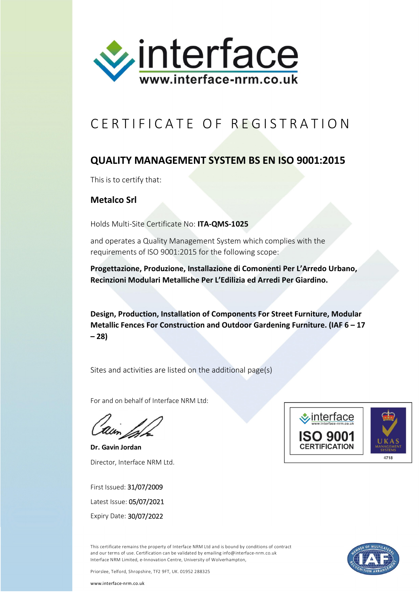

## CERTIFICATE OF REGISTRATION

## **QUALITY MANAGEMENT SYSTEM BS EN ISO 9001:2015**

This is to certify that:

**Metalco Srl**

Holds Multi-Site Certificate No: **ITA-QMS-1025**

and operates a Quality Management System which complies with the requirements of ISO 9001:2015 for the following scope:

**Progettazione, Produzione, Installazione di Comonenti Per L'Arredo Urbano, Recinzioni Modulari Metalliche Per L'Edilizia ed Arredi Per Giardino.**

**Design, Production, Installation of Components For Street Furniture, Modular Metallic Fences For Construction and Outdoor Gardening Furniture. (IAF 6 – 17 – 28)**

Sites and activities are listed on the additional page(s)

For and on behalf of Interface NRM Ltd:

**Dr. Gavin Jordan** Director, Interface NRM Ltd.

First Issued: 31/07/2009 Latest Issue: 05/07/2021 Expiry Date: 30/07/2022



This certificate remains the property of Interface NRM Ltd and is bound by conditions of contract and our terms of use. Certification can be validated by emailing info@interface-nrm.co.uk Interface NRM Limited, e-Innovation Centre, University of Wolverhampton,

Priorslee, Telford, Shropshire, TF2 9FT, UK. 01952 288325